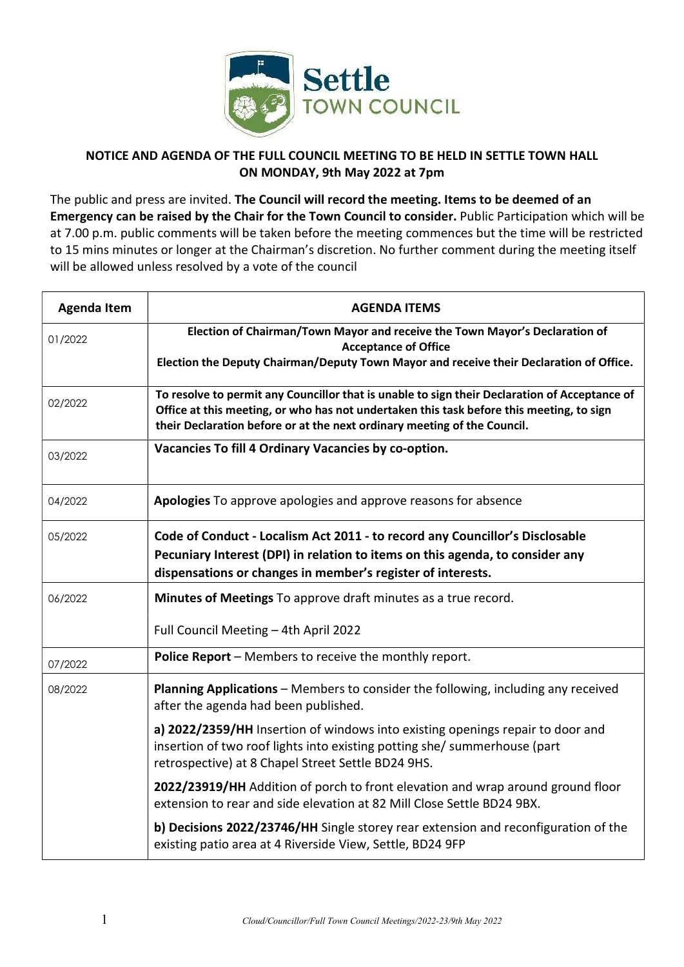

## NOTICE AND AGENDA OF THE FULL COUNCIL MEETING TO BE HELD IN SETTLE TOWN HALL ON MONDAY, 9th May 2022 at 7pm

The public and press are invited. The Council will record the meeting. Items to be deemed of an Emergency can be raised by the Chair for the Town Council to consider. Public Participation which will be at 7.00 p.m. public comments will be taken before the meeting commences but the time will be restricted to 15 mins minutes or longer at the Chairman's discretion. No further comment during the meeting itself will be allowed unless resolved by a vote of the council

| <b>Agenda Item</b> | <b>AGENDA ITEMS</b>                                                                                                                                                                                                                                                   |
|--------------------|-----------------------------------------------------------------------------------------------------------------------------------------------------------------------------------------------------------------------------------------------------------------------|
| 01/2022            | Election of Chairman/Town Mayor and receive the Town Mayor's Declaration of<br><b>Acceptance of Office</b><br>Election the Deputy Chairman/Deputy Town Mayor and receive their Declaration of Office.                                                                 |
| 02/2022            | To resolve to permit any Councillor that is unable to sign their Declaration of Acceptance of<br>Office at this meeting, or who has not undertaken this task before this meeting, to sign<br>their Declaration before or at the next ordinary meeting of the Council. |
| 03/2022            | Vacancies To fill 4 Ordinary Vacancies by co-option.                                                                                                                                                                                                                  |
| 04/2022            | Apologies To approve apologies and approve reasons for absence                                                                                                                                                                                                        |
| 05/2022            | Code of Conduct - Localism Act 2011 - to record any Councillor's Disclosable<br>Pecuniary Interest (DPI) in relation to items on this agenda, to consider any<br>dispensations or changes in member's register of interests.                                          |
| 06/2022            | Minutes of Meetings To approve draft minutes as a true record.                                                                                                                                                                                                        |
|                    | Full Council Meeting - 4th April 2022                                                                                                                                                                                                                                 |
| 07/2022            | Police Report - Members to receive the monthly report.                                                                                                                                                                                                                |
| 08/2022            | Planning Applications - Members to consider the following, including any received<br>after the agenda had been published.                                                                                                                                             |
|                    | a) 2022/2359/HH Insertion of windows into existing openings repair to door and<br>insertion of two roof lights into existing potting she/ summerhouse (part<br>retrospective) at 8 Chapel Street Settle BD24 9HS.                                                     |
|                    | 2022/23919/HH Addition of porch to front elevation and wrap around ground floor<br>extension to rear and side elevation at 82 Mill Close Settle BD24 9BX.                                                                                                             |
|                    | b) Decisions 2022/23746/HH Single storey rear extension and reconfiguration of the<br>existing patio area at 4 Riverside View, Settle, BD24 9FP                                                                                                                       |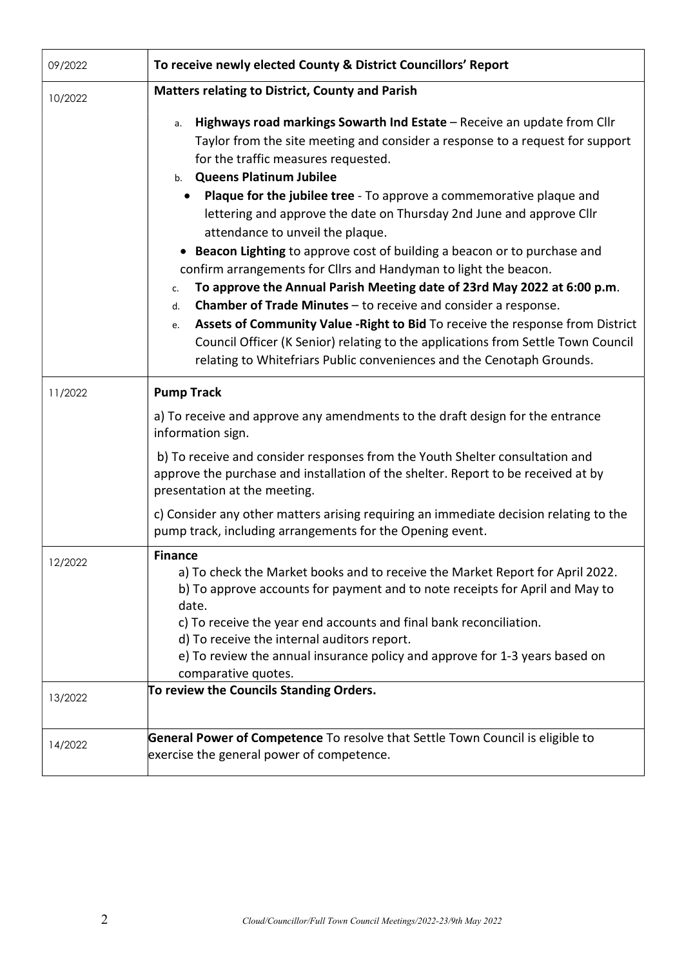| 09/2022 | To receive newly elected County & District Councillors' Report                                                                                                                                                                                                                                                                                                                                                                                                                                                                                                                                                                                                                            |
|---------|-------------------------------------------------------------------------------------------------------------------------------------------------------------------------------------------------------------------------------------------------------------------------------------------------------------------------------------------------------------------------------------------------------------------------------------------------------------------------------------------------------------------------------------------------------------------------------------------------------------------------------------------------------------------------------------------|
| 10/2022 | <b>Matters relating to District, County and Parish</b>                                                                                                                                                                                                                                                                                                                                                                                                                                                                                                                                                                                                                                    |
|         | Highways road markings Sowarth Ind Estate - Receive an update from Cllr<br>а.<br>Taylor from the site meeting and consider a response to a request for support<br>for the traffic measures requested.<br>b. Queens Platinum Jubilee<br><b>Plaque for the jubilee tree</b> - To approve a commemorative plaque and                                                                                                                                                                                                                                                                                                                                                                         |
|         | lettering and approve the date on Thursday 2nd June and approve Cllr<br>attendance to unveil the plaque.<br>Beacon Lighting to approve cost of building a beacon or to purchase and<br>$\bullet$<br>confirm arrangements for Cllrs and Handyman to light the beacon.<br>To approve the Annual Parish Meeting date of 23rd May 2022 at 6:00 p.m.<br>c.<br><b>Chamber of Trade Minutes</b> – to receive and consider a response.<br>d.<br>Assets of Community Value - Right to Bid To receive the response from District<br>e.<br>Council Officer (K Senior) relating to the applications from Settle Town Council<br>relating to Whitefriars Public conveniences and the Cenotaph Grounds. |
| 11/2022 | <b>Pump Track</b>                                                                                                                                                                                                                                                                                                                                                                                                                                                                                                                                                                                                                                                                         |
|         | a) To receive and approve any amendments to the draft design for the entrance<br>information sign.                                                                                                                                                                                                                                                                                                                                                                                                                                                                                                                                                                                        |
|         | b) To receive and consider responses from the Youth Shelter consultation and<br>approve the purchase and installation of the shelter. Report to be received at by<br>presentation at the meeting.                                                                                                                                                                                                                                                                                                                                                                                                                                                                                         |
|         | c) Consider any other matters arising requiring an immediate decision relating to the<br>pump track, including arrangements for the Opening event.                                                                                                                                                                                                                                                                                                                                                                                                                                                                                                                                        |
| 12/2022 | <b>Finance</b><br>a) To check the Market books and to receive the Market Report for April 2022.<br>b) To approve accounts for payment and to note receipts for April and May to<br>date.                                                                                                                                                                                                                                                                                                                                                                                                                                                                                                  |
|         | c) To receive the year end accounts and final bank reconciliation.<br>d) To receive the internal auditors report.<br>e) To review the annual insurance policy and approve for 1-3 years based on<br>comparative quotes.                                                                                                                                                                                                                                                                                                                                                                                                                                                                   |
| 13/2022 | To review the Councils Standing Orders.                                                                                                                                                                                                                                                                                                                                                                                                                                                                                                                                                                                                                                                   |
| 14/2022 | General Power of Competence To resolve that Settle Town Council is eligible to<br>exercise the general power of competence.                                                                                                                                                                                                                                                                                                                                                                                                                                                                                                                                                               |